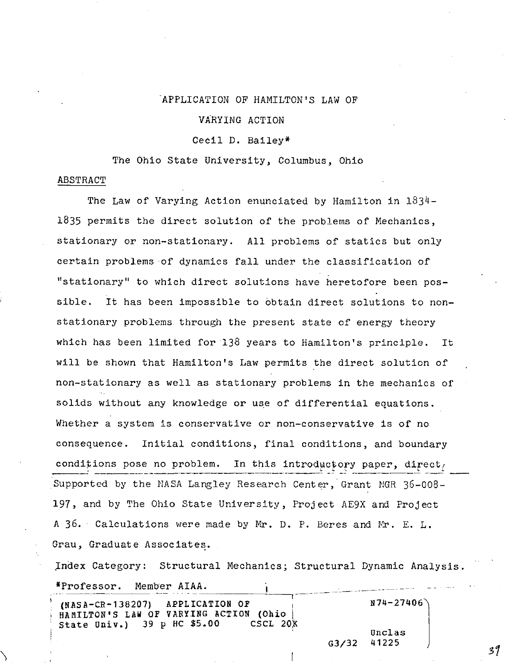### APPLICATION OF HAMILTON'S LAW OF

### VARYING ACTION

### Cecil D. Bailey\*

The Ohio State University, Columbus, Ohio

### ABSTRACT

The Law of Varying Action enunciated by Hamilton in 1834- 1835 permits the direct solution of the problems of Mechanics, stationary or non-stationary. All problems of statics but only certain problems of dynamics fall under the classification of "stationary" to which direct solutions have heretofore been possible. It has been impossible to obtain direct solutions to nonstationary problems. through the present state of energy theory which has been limited for 138 years to Hamilton's principle. It will be shown that Hamilton's Law permits the direct solution of non-stationary as well as stationary problems in the mechanics of solids without any knowledge or use of differential equations. Whether a system is conservative or non-conservative is of no consequence. Initial conditions, final conditions, and boundary conditions pose no problem. In this introductory paper, direct, Supported by the NASA Langley Research Center, Grant NGR 36-008- 197, and by The Ohio State University, Project AE9X and Project A 36. Calculations were made by Mr. D. P. Beres and Mr. E. L. Grau, Graduate Associates.

Index Category: Structural Mechanics; Structural Dynamic Analysis. \*Professor. Member AIAA.

| $(MASA-CR-138207)$ APPLICATION OF      |          |             | N74-27406 |
|----------------------------------------|----------|-------------|-----------|
| HAMILTON'S LAW OF VARYING ACTION (Ohio |          |             |           |
| State Univ.) $39$ p HC $$5.00$         | CSCL 20K |             | Unclas    |
|                                        |          | G3/32 41225 |           |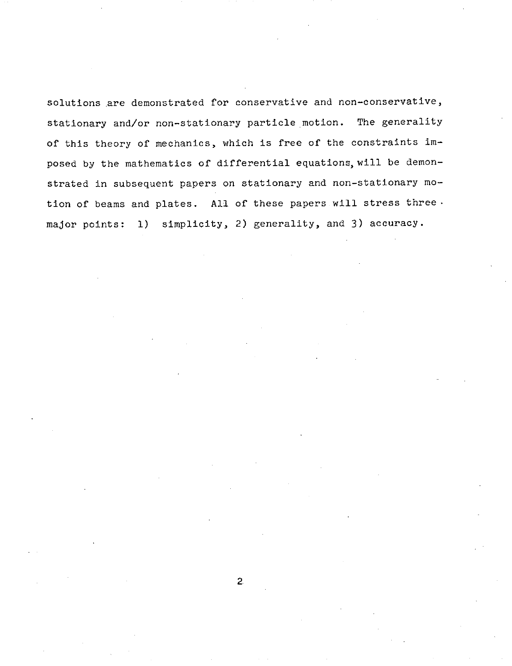solutions are demonstrated for conservative and non-conservative, stationary and/or non-stationary particle motion. The generality of this theory of mechanics, which is free of the constraints imposed by the mathematics of differential equations, will be demonstrated in subsequent papers on stationary and non-stationary motion of beams and plates. All of these papers will stress three. major points: 1) simplicity, 2) generality, and 3) accuracy.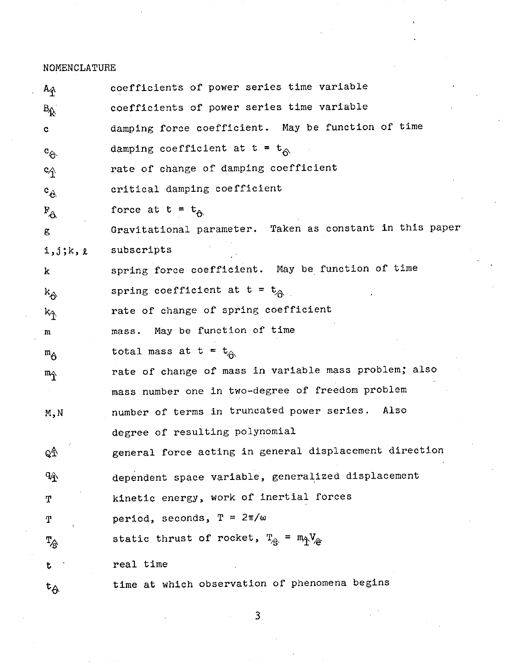## NOMENCLATURE

| ΑĄ                              | coefficients of power series time variable                                    |
|---------------------------------|-------------------------------------------------------------------------------|
| $B_{\hat{k}}$                   | coefficients of power series time variable                                    |
| $\mathbf{c}$                    | damping force coefficient. May be function of time                            |
| $c_{\hat{\sigma}}$              | damping coefficient at $t = t_{\hat{A}}$                                      |
| ዱ                               | rate of change of damping coefficient                                         |
| $\mathbf{e}_{\hat{\mathbf{e}}}$ | critical damping coefficient                                                  |
| $F_{\hat{\mathcal{O}}}$         | force at $t = t_{\hat{\theta}}$                                               |
| g                               | Gravitational parameter. Taken as constant in this paper                      |
| i,j;k,k                         | subscripts                                                                    |
| k.                              | spring force coefficient. May be function of time                             |
| $k_{\hat{\alpha}}$              | spring coefficient at $t = t_{A}$                                             |
| $k_{\uparrow}$                  | rate of change of spring coefficient                                          |
| m                               | mass. May be function of time                                                 |
| $m_{\hat{\Omega}}$              | total mass at t = $t_{\hat{A}}$                                               |
| $m_{\hat{+}}$                   | rate of change of mass in variable mass problem; also                         |
|                                 | mass number one in two-degree of freedom problem                              |
| M,N                             | number of terms in truncated power series. Also                               |
|                                 | degree of resulting polynomial                                                |
| Qî                              | general force acting in general displacement direction                        |
| $\mathbf{P}$                    | dependent space variable, generalized displacement                            |
| т                               | kinetic energy, work of inertial forces                                       |
| Т                               | period, seconds, $T = 2\pi/\omega$                                            |
| $T_{\bigoplus}$                 | static thrust of rocket, $T_{\hat{\alpha}} = m_{\hat{\beta}}V_{\hat{\alpha}}$ |
| t                               | real time                                                                     |
| $t_{\hat{\theta}}$              | time at which observation of phenomena begins                                 |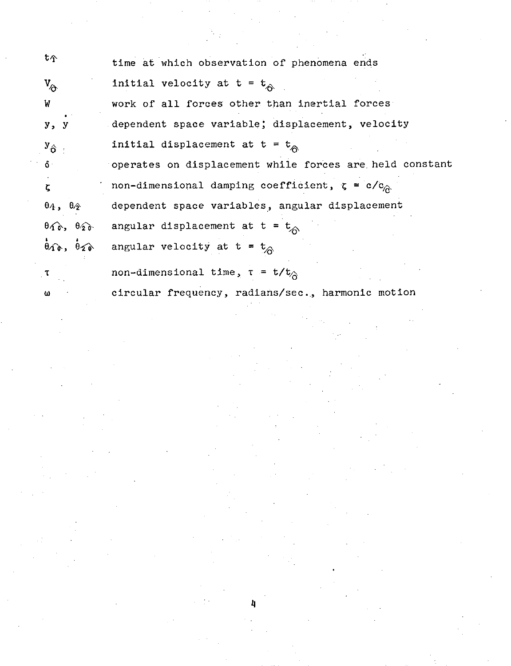| $t_{\Upsilon}$                                              | time at which observation of phenomena ends                       |
|-------------------------------------------------------------|-------------------------------------------------------------------|
| $\mathbf{v}_{\!\!\scriptscriptstyle\partial\!\!\!\!\minus}$ | initial velocity at t = $t_{\hat{A}}$                             |
| W                                                           | work of all forces other than inertial forces                     |
| y, y                                                        | dependent space variable; displacement, velocity                  |
| $y_{\hat{\sigma}}$                                          | initial displacement at $t = t_{\text{A}}$                        |
| δ÷                                                          | operates on displacement while forces are held constant           |
| ζ                                                           | non-dimensional damping coefficient, $\zeta = c/c_{\hat{\alpha}}$ |
| $\theta_4$ , $\theta_2$                                     | dependent space variables, angular displacement                   |
| $\theta_1$ $\theta_2$ $\theta_3$                            | angular displacement at $t = t_{\text{A}}$                        |
| $\theta$ 10, $\theta$ 20                                    | angular velocity at t = $t_{\hat{A}}$                             |
|                                                             | non-dimensional time, $\tau = t/t_{\hat{\alpha}}$                 |
| ω                                                           | circular frequency, radians/sec., harmonic motion                 |

и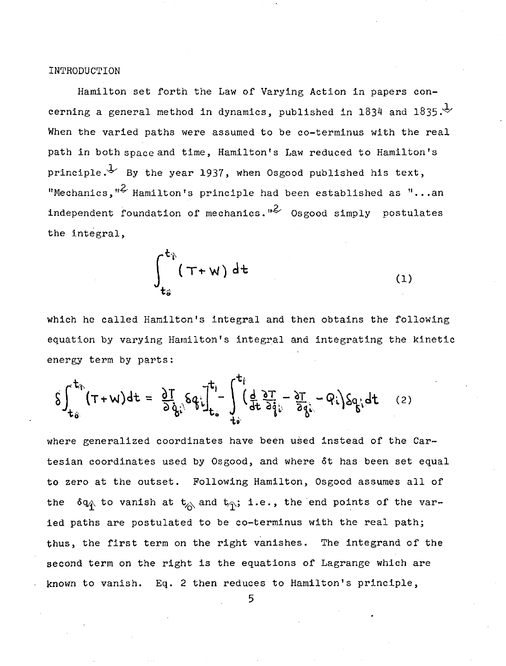#### INTRODUCTION

Hamilton set forth the Law of Varying Action in papers concerning a general method in dynamics, published in 1834 and 1835. $\stackrel{1}{\sim}$ When the varied paths were assumed to be co-terminus with the real path in both space and time, Hamilton's Law reduced to Hamilton's principle. By the year 1937, when Osgood published his text, "Mechanics," $\mathbb{R}$  Hamilton's principle had been established as "...an independent foundation of mechanics.<sup> $n$ 2</sup> Osgood simply postulates the integral,

$$
\int_{t_0}^{t_1} (\tau + w) dt
$$
 (1)

which he called Hamilton's integral and then obtains the following equation by varying Hamilton's integral and integrating the kinetic energy term by parts:

$$
\delta \int_{t_0}^{t_0} (T + w) dt = \frac{\partial T}{\partial \dot{q}_i} \delta q_i \Big|_{t_0}^{t_1} - \int_{t_0}^{t_1} \left(\frac{d}{dt} \frac{\partial T}{\partial \dot{q}_i} - \frac{\partial T}{\partial q_i} - Q_i\right) S q_i dt \qquad (2)
$$

where generalized coordinates have been used instead of the Cartesian coordinates used by Osgood, and where 6t has been set equal to zero at the outset. Following Hamilton, Osgood assumes all of the  $6q<sub>A</sub>$  to vanish at  $t<sub>A</sub>$  and  $t<sub>A</sub>$ ; i.e., the end points of the varied paths are postulated to be co-terminus with the real path; thus, the first term on the right vanishes. The integrand of the second term on the right is the equations of Lagrange which are known to vanish. Eq. 2 then reduces to Hamilton's principle,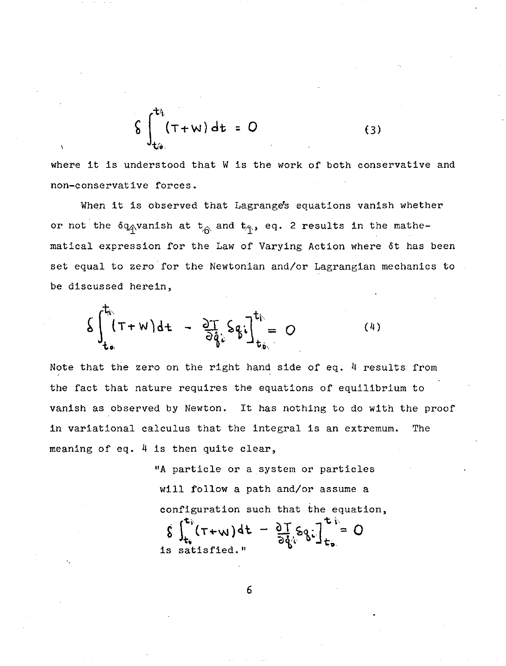$$
\int_{t/a}^{t/a} (\tau + w) dt = 0
$$
 (3)

where it is understood that W is the work of both conservative and non-conservative forces.

When it is observed that Lagrange's equations vanish whether or not the  $6q_A$ vanish at  $t_A$  and  $t_A$ , eq. 2 results in the mathematical expression for the Law of Varying Action where 6t has been set equal to zero for the Newtonian and/or Lagrangian mechanics to be discussed herein,

$$
\delta \int_{\mathbf{t}_{\hat{\theta}}}^{\mathbf{t}_{\hat{\theta}}} (\mathbf{T} + \mathbf{W}) d\mathbf{t} - \frac{\partial \mathbf{T}}{\partial \hat{q}} \delta q_{\hat{\theta}} \Big|_{\mathbf{t}_{\hat{\theta}}}^{\mathbf{t}_{\hat{\theta}}} = O
$$
 (4)

Note that the zero on the right hand side of eq. 4 results from the fact that nature requires the equations of equilibrium to vanish as observed by Newton. It has nothing to do with the proof in variational calculus that the integral is an extremum. The meaning of eq. 4 is then quite clear,

> "A particle or a system or particles will follow a path and/or assume a configuration such that the equation,  $\int_{t_0}^{t_0} (T+w) dt - \frac{\partial T}{\partial \dot{\phi}^k} S_{\theta}t \Big]_{t_0}^{t_0} = 0$ is satisfied."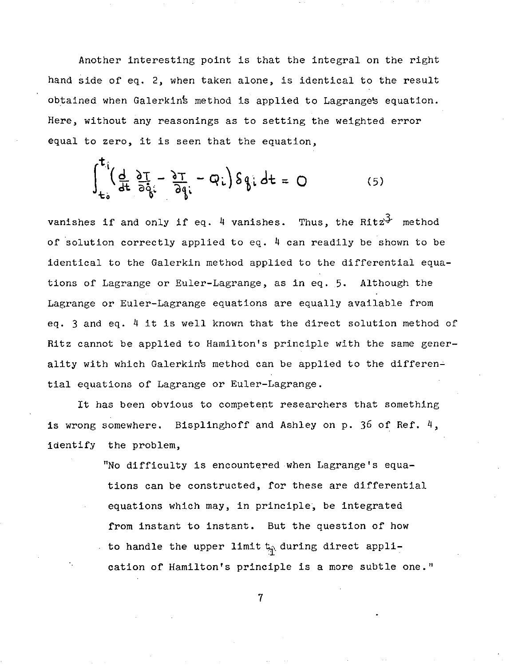Another interesting point is that the integral on the right hand side of eq. 2, when taken alone, is identical to the result obtained when Galerkins method is applied to Lagranges equation. Here, without any reasonings as to setting the weighted error equal to zero, it is seen that the equation,

$$
\int_{t_0}^{t_1} \left(\frac{d}{dt} \frac{\partial T}{\partial \dot{q}_i} - \frac{\partial T}{\partial q_i} - Q_i\right) S q_i dt = 0
$$
 (5)

vanishes if and only if eq. 4 vanishes. Thus, the Ritz $3$  method of solution correctly applied to eq. 4 can readily be shown to be identical to the Galerkin method applied to the differential equations of Lagrange or Euler-Lagrange, as in eq. 5. Although the Lagrange or Euler-Lagrange equations are equally available from eq. 3 and eq. 4 it is well known that the direct solution method of Ritz cannot be applied to Hamilton's principle with the same generality with which Galerkins method can be applied to the differential equations of Lagrange or Euler-Lagrange.

It has been obvious to competent researchers that something is wrong somewhere. Bisplinghoff and Ashley on p. 36 of Ref. 4, identify the problem,

> "No difficulty is encountered when Lagrange's equations can be constructed, for these are differential equations which may, in principle, be integrated from instant to instant. But the question of how to handle the upper limit  $t_{\hat{m}}$  during direct application of Hamilton's principle is a more subtle one."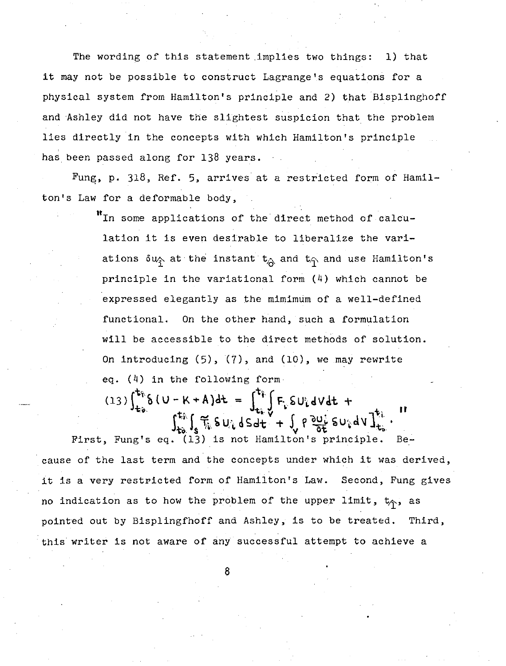The wording of this statement implies two things: 1) that it may not be possible to construct Lagrange's equations for a physical system from Hamilton's principle and 2) that Bisplinghoff and Ashley did not have the slightest suspicion that the problem lies directly in the concepts with which Hamilton's principle has been passed along for 138 years.

Fung, p. 318, Ref. 5, arrives at a restricted form of Hamilton's Law for a deformable body,

> In some applications of the direct method of calculation it is even desirable to liberalize the variations  $\delta u_{\hat{p}}$  at the instant  $t_{\hat{p}}$  and  $t_{\hat{p}}$  and use Hamilton's principle in the variational form (4) which cannot be expressed elegantly as the mimimum of a well-defined functional. On the other hand, such a formulation will be accessible to the direct methods of solution. On introducing (5), (7), and (10), we may rewrite eq. (4) in the following form

(13)  $\int_{t_0}^{t_0} \delta (U - K + A) dt = \int_{t_0}^{t_0} \int_{t_0}^{t_0} F_{L} SU_{L} dV dt + \int_{t_0}^{t_0} \int_{s}^{t_0} \tilde{T}_{L} S U_{L} dS dt + \int_{V} \rho \frac{\partial U_{L}^{L}}{\partial t} SU_{L} dV \frac{1}{2} t_{L}$ 

First, Fung's eq. (13) is not Hamilton's principle. Because of the last term and the concepts under which it was derived, it is a very restricted form of Hamilton's Law. Second, Fung gives no indication as to how the problem of the upper limit,  $t_{\hat{\gamma}}$ , as pointed out by Bisplingfhoff and Ashley, is to be treated. Third, this writer is not aware of any successful attempt to achieve a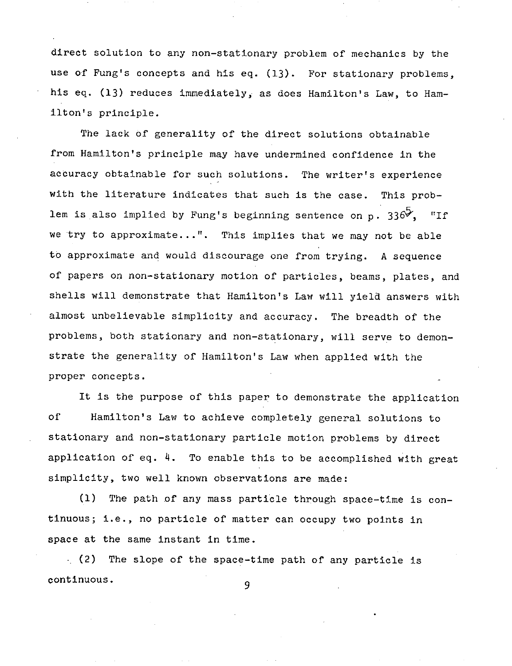direct solution to any non-stationary problem of mechanics by the use of Fung's concepts and his eq. (13). For stationary problems, his eq. (13) reduces immediately, as does Hamilton's Law, to Hamilton's principle.

The lack of generality of the direct solutions obtainable from Hamilton's principle may have undermined confidence in the accuracy obtainable for such solutions. The writer's experience with the literature indicates that such is the case. This problem is also implied by Fung's beginning sentence on p. 336 $\mathcal{C}$ , "If we try to approximate...". This implies that we may not be able to approximate and would discourage one from trying. A sequence of papers on non-stationary motion of particles, beams, plates, and shells will demonstrate that Hamilton's Law will yiela answers with almost unbelievable simplicity and accuracy. The breadth of the problems, both stationary and non-stationary, will serve to demonstrate the generality of Hamilton's Law when applied with the proper concepts.

It is the purpose of this paper to demonstrate the application of Hamilton's Law to achieve completely general solutions to stationary and non-stationary particle motion problems by direct application of eq.  $4$ . To enable this to be accomplished with great simplicity, two well known observations are made:

(1) The path of any mass particle through space-time is continuous; i.e., no particle of matter can occupy two points in space at the same instant in time.

(2) The slope of the space-time path of any particle is continuous. 9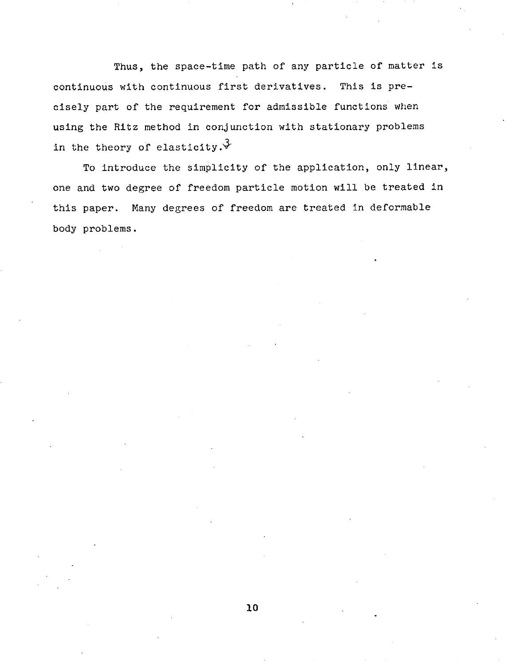Thus, the space-time path of any particle of matter is continuous with continuous first derivatives. This is precisely part of the requirement for admissible functions when using the Ritz method in conjunction with stationary problems in the theory of elasticity.  $\hat{v}$ 

To introduce the simplicity of the application, only linear, one and two degree of freedom particle motion will be treated in this paper. Many degrees of freedom are treated in deformable body problems.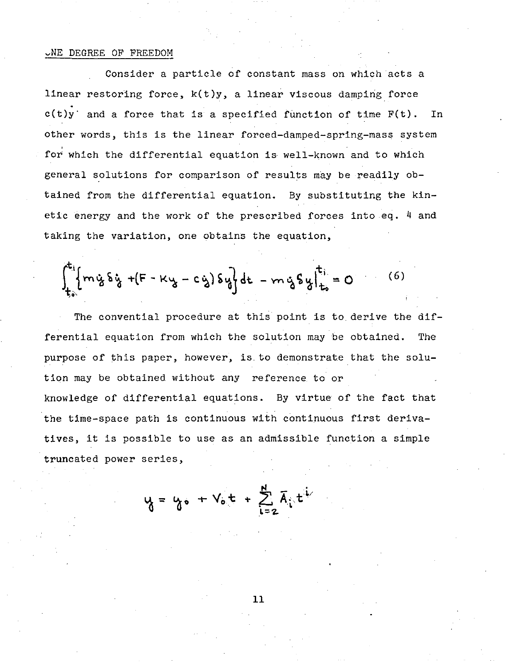### vNE DEGREE OF FREEDOM

Consider a particle of constant mass on which acts a linear restoring force, k(t)y, a linear viscous damping force  $c(t)y$  and a force that is a specified function of time  $F(t)$ . In other words, this is the linear forced-damped-spring-mass system for which the differential equation is well-known and to which general solutions for comparison of results may be readily obtained from the differential equation. By substituting the kinetic energy and the work of the prescribed forces into eq. 4 and taking the variation, one obtains the equation,

 $\int_{+ \infty}^{t_1} \left\{ m \dot{v}_s \delta \dot{v}_s + (F - Ky_s - c \dot{v}_s) \delta \dot{v}_s \right\} dt - m \dot{v}_s \delta \dot{v}_s \Big|_{t_0}^{t_1} = 0$  (6)

The convential procedure at this point is to derive the differential equation from which the solution may be obtained. The purpose of this paper, however, is.to demonstrate that the solution may be obtained without any reference. to or knowledge of differential equations. By virtue of the fact that the time-space path is continuous with continuous first derivatives, it is possible to use as an admissible function a simple truncated power series,

$$
v_{\delta} = v_{\delta} + V_{\delta} t + \sum_{i=2}^{N} \overline{A}_{i} t^{i}
$$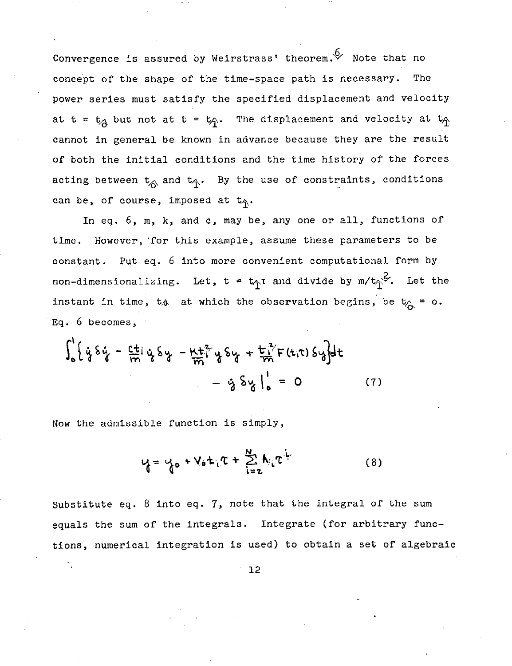Convergence is assured by Weirstrass' theorem.  $\Diamond$  Note that no concept of the shape of the time-space path is necessary. The power series must satisfy the specified displacement and velocity at t =  $t_A$  but not at t =  $t_A$ . The displacement and velocity at  $t_A$ cannot in general be known in advance because they are the result of both the initial conditions and the time history of the forces acting between  $t^A_{\theta}$  and  $t^A_{\theta}$ . By the use of constraints, conditions can be, of course, imposed at  $t_{\hat{\gamma}}$ .

In eq. 6, m, k, and c, may be, any one or all, functions of time. However,'for this example, assume these parameters to be constant. Put eq. 6 into more convenient computational form by non-dimensionalizing. Let,  $t = t_{\hat{T}}$  and divide by m/ $t_{\hat{T}}^3$ . Let the instant in time, to at which the observation begins, be  $t_{\hat{A}}$  = 0. Eq. 6 becomes,

$$
\int_{0}^{1} \{\dot{y}_{\delta}\dot{\gamma} - \frac{c_{\xi}}{m} |\dot{y}_{\delta}\gamma - \frac{Kt^2}{m} y \delta y + \frac{t^3}{m} F(t, \tau) \delta y \} dt - \dot{y} \delta y \Big|_{0}^{1} = 0
$$
 (7)

Now the admissible function is simply,

$$
V_1 = V_0 + V_0 t_1 T + \sum_{i=2}^{N} A_{i} T^{i} \qquad (8)
$$

Substitute eq. 8 into eq. 7, note that the integral of the sum equals the sum of the integrals. Integrate (for arbitrary functions, numerical integration is used) to obtain a set of algebraic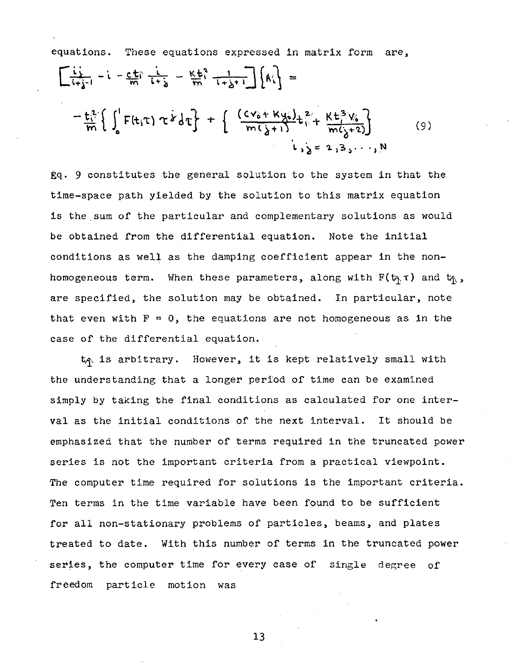equations. These equations expressed in matrix form are,

$$
\left[\frac{i j}{i+j} - i - \frac{c}{m} \frac{t}{i+j} - \frac{i}{m} \frac{t}{i+j} - \frac{k}{m} \frac{t^2}{i+j+1} \right] \left[ A_i^2 \right] =
$$
\n
$$
- \frac{t_i^2}{m} \left\{ \int_0^1 F(t_i^T) \tau^2 d\tau \right\} + \left\{ \frac{(c v_0 + K y_0)}{m (j+1)} t_i^2 + \frac{K t_i^3 v_0^2}{m (j+2)} \right\} \qquad (9)
$$

Eq. 9 constitutes the general solution to the system in that the time-space path yielded by the solution to this matrix equation is the sum of the particular and complementary solutions as would be obtained from the differential equation. Note the initial conditions as well as the damping coefficient appear in the nonhomogeneous term. When these parameters, along with  $F(t_{\uparrow}, \tau)$  and  $t_{\uparrow},$ are specified, the solution may be obtained. In particular, note that even with  $F = 0$ , the equations are not homogeneous as in the case of the differential equation.

 $t_A$  is arbitrary. However, it is kept relatively small with the understanding that a longer period of time can be examined simply by taking the final conditions as calculated for one interval as the initial conditions of the next interval. It should be emphasized that the number of terms required in the truncated power series is not the important criteria from a practical viewpoint. The computer time required for solutions is the important criteria. Ten terms in the time variable have been found to be sufficient for all non-stationary problems of particles, beams, and plates treated to date. With this number of terms in the truncated power series, the computer time for every case of single degree of freedom particle motion was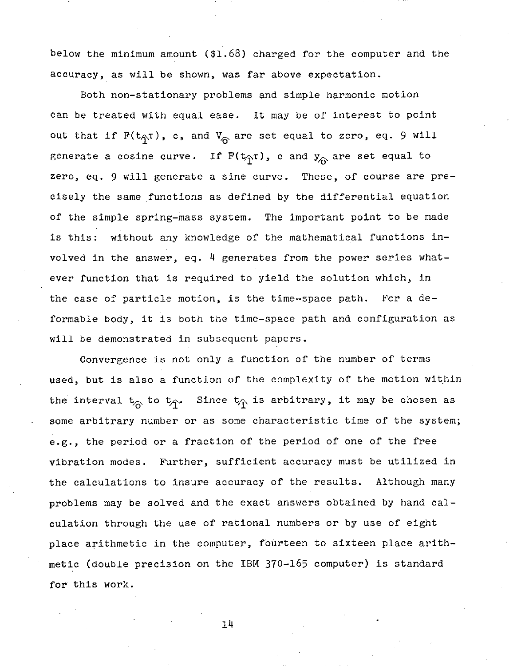below the minimum amount (\$1.68) charged for the computer and the accuracy, as will be shown, was far above expectation.

Both non-stationary problems and simple harmonic motion can be treated with equal ease. It may be of interest to point out that if  $F(t_{\hat{p}})$ , c, and  $V_{\hat{p}}$  are set equal to zero, eq. 9 will generate a cosine curve. If  $F(t_{\hat{\gamma}}\tau)$ , c and  $y_{\hat{\alpha}}$  are set equal to zero, eq. 9 will generate a sine curve. These, of course are precisely the same functions as defined by the differential equation of the simple spring-mass system. The important point to be made is this: without any knowledge of the mathematical functions involved in the answer, eq. 4 generates from the power series whatever function that is required to yield the solution which, in the case of particle motion, is the time-space path. For a deformable body, it is both the time-space path and configuration as will be demonstrated in subsequent papers.

Convergence is not only a function of the number of terms used, but is also a function of the complexity of the motion within the interval  $t_{\widehat{\alpha}}$  to  $t_{\widehat{\gamma}}$ . Since  $t_{\widehat{\gamma}}$  is arbitrary, it may be chosen as some arbitrary number or as some characteristic time of the system; e.g., the period or a fraction of the period of one of the free vibration modes. Further, sufficient accuracy must be utilized in the calculations to insure accuracy of the results. Although many problems may be solved and the exact answers obtained by hand calculation through the use of rational numbers or by use of eight place arithmetic in the computer, fourteen to sixteen place arithmetic (double precision on the IBM 370-165 computer) is standard for this work.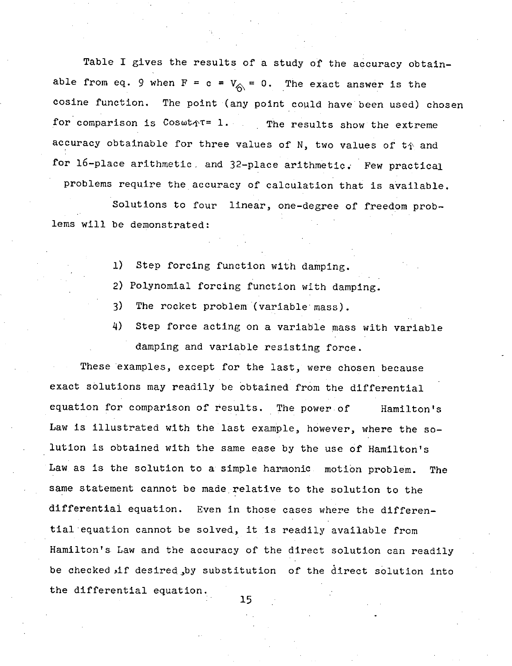Table I gives the results of a study of the accuracy obtainable from eq. 9 when  $F = c = V_{\widehat{\bigtriangleup}} = 0$ . The exact answer is the cosine function. The point (any point could have been used) chosen for comparison is Coswt $\Upsilon$ <sup>-1</sup>. The results show the extreme accuracy obtainable for three values of N, two values of  $t_{\hat{T}}$  and for 16-place arithmetic. and 32-place arithmetic. Few practical

problems require the accuracy of calculation that is available. Solutions to four linear, one-degree of freedom problems will be demonstrated:

- 1) Step forcing function with damping.
- 2) Polynomial forcing function with damping.
- 3) The rocket problem (variable mass).
- 4) Step force acting on a variable mass with variable damping and variable resisting force.

These examples, except for the last, were chosen because exact solutions may readily be obtained from the differential equation for comparison of results. The power of Hamilton's Law is illustrated with the last example, however, where the solution is obtained with the same ease by the use of Hamilton's Law as is the solution to a simple harmonic motion problem. The same statement cannot be made relative to the solution to the differential equation. Even in those cases where the differential equation cannot be solved, it is readily available from Hamilton's Law and the accuracy of the direct solution can readily be checked ,if desired,by substitution of the direct solution into the differential equation.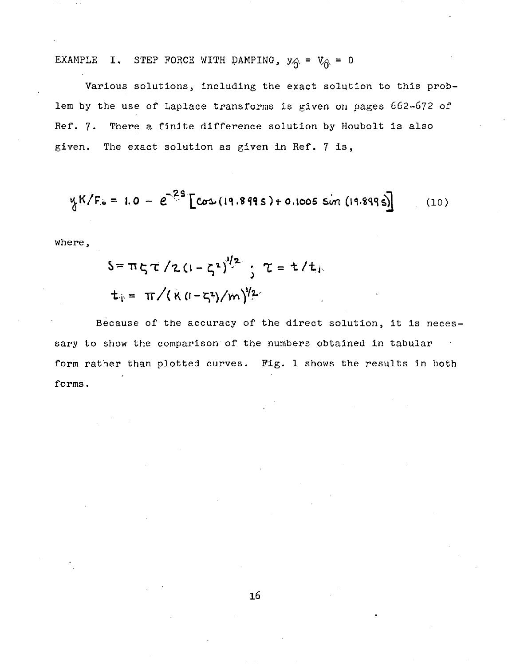EXAMPLE I, STEP FORCE WITH DAMPING,  $y_{\hat{0}} = V_{\hat{0}} = 0$ 

Various solutions, including the exact solution to this problem by the use of Laplace transforms is given on pages 662-672 of Ref. **7.** There a finite difference solution by Houbolt is also given. The exact solution as given in Ref. **7** is,

$$
y K/F_{6} = 1.0 - e^{-\xi S} \left[ cos(19.899 s) + 0.1005 sin(19.899 s) \right]
$$
 (10)

where,

$$
S = \pi \zeta \tau / 2 (1 - \zeta^2)^{1/2} \zeta \tau = \frac{1}{\tau^2}
$$
  

$$
t_i = \pi / (k (1 - \zeta^2) / m)^{1/2}
$$

Because of the accuracy of the direct solution, it is necessary to show the comparison of the numbers obtained in tabular form rather than plotted curves. Fig. 1 shows the results in both forms.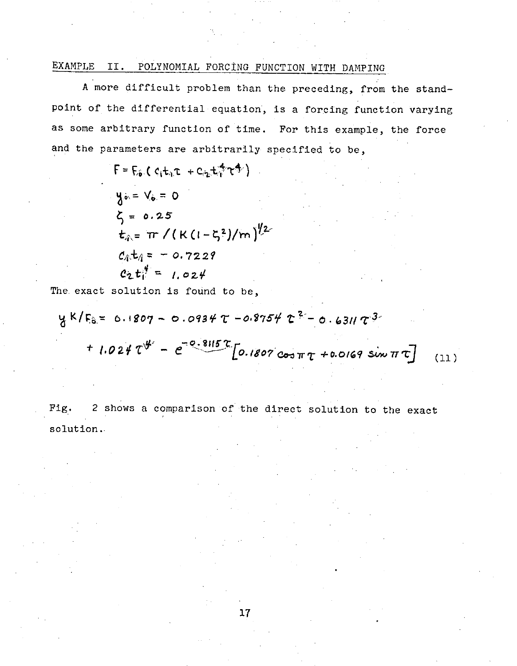## EXAMPLE II. POLYNOMIAL FORCING FUNCTION WITH DAMPING

A more difficult problem than the preceding, from the standpoint of the differential equation, is a forcing function varying as some arbitrary function of time. For this example, the force and the parameters are arbitrarily specified to be,

$$
F = F_6 (c_1 t_1 \tau + c_2 t_1^4 \tau^4)
$$
  
\n
$$
Y_6 = V_6 = 0
$$
  
\n
$$
\zeta = 0.25
$$
  
\n
$$
t_{\hat{r}} = \pi / (K(1-\zeta^2)/m)^{1/2}
$$
  
\n
$$
c_4 t_{\hat{r}} = -0.7229
$$
  
\n
$$
c_2 t_{\hat{r}}^4 = 1.024
$$

The exact solution is found to be,

$$
y K/Fô = 6.1807 - 0.0934 T - 0.8754 T2 - 0.6311 T3
$$
  
+ 1.024 T<sup>4</sup> - C<sup>-0.8115 T</sup> [0.1807 cos π τ + 0.0169 sin π T] (11)

Fig. 2 shows a comparison of the direct solution to the exact solution.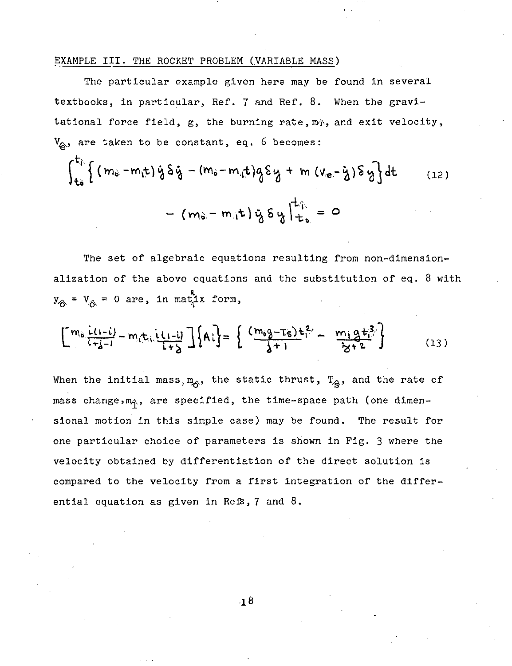### EXAMPLE III. THE ROCKET PROBLEM (VARIABLE MASS)

The particular example given here may be found in several textbooks, in particular, Ref. 7 and Ref. 8. When the gravitational force field,  $g$ , the burning rate,  $m\hat{v}$ , and exit velocity,  $V_{\hat{\beta}}$ , are taken to be constant, eq. 6 becomes:

$$
\int_{t_0}^{t_1} \left\{ (m_0 - m_1 t) \dot{y} \, \delta \dot{y} - (m_0 - m_1 t) q \delta y + m (v_e - \dot{y}) \delta y \right\} dt \qquad (12)
$$

$$
- (m_0 - m_1 t) \dot{y} \delta y \Big|_{t_0}^{t_1} = 0
$$

The set of algebraic equations resulting from non-dimensionalization of the above equations and the substitution of eq. 8 with  $y_{\hat{\Theta}} = V_{\hat{\Theta}} = 0$  are, in mat<sub>ix</sub> form,

$$
\left[\begin{array}{c} m_{\hat{b}} \frac{i(1-i)}{i+j-1} - m_{\hat{b}} t_{\hat{b}} \frac{i(1-i)}{i+j} \end{array}\right] \left\{ A_{\hat{b}} \right\} = \left\{ \begin{array}{c} \left( \frac{m_{\hat{b}} g - T_{\hat{b}}}{j} \right) t_{\hat{b}}^{2} - \frac{m_{\hat{b}} g t_{\hat{b}}^{2}}{j+j} \end{array} \right\}
$$
(13)

When the initial mass,  $m_{\phi}$ , the static thrust,  $T_{\phi}$ , and the rate of mass change, m<sub>4</sub>, are specified, the time-space path (one dimensional motion in this simple case) may be found. The result for one particular choice of parameters is shown in Fig. 3 where the velocity obtained by differentiation of the direct solution is compared to the velocity from a first integration of the differential equation as given in Refs,  $7$  and  $8$ .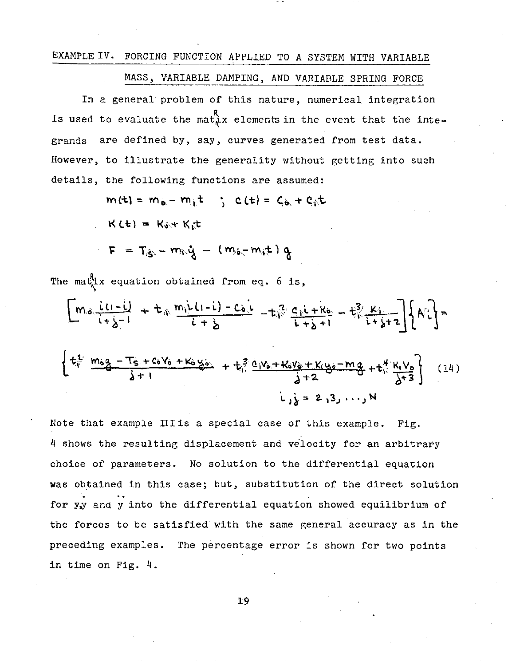EXAMPLE IV. FORCING FUNCTION APPLIED TO A SYSTEM WITH VARIABLE

MASS, VARIABLE DAMPING, AND VARIABLE SPRING FORCE

In a general problem of this nature, numerical integration is used to evaluate the matt  $x = k$  elements in the event that the integrands are defined by, say, curves generated from test data. However, to illustrate the generality without getting into such details, the following functions are assumed:

> $m(t) = m_0 - m_1 t$  ;  $c(t) = c_0 + c_1 t$  $K(t) = K_0 + K_1t$  $F = T_{\hat{\beta}} - m_{\hat{\imath}} \hat{y} - (m_{\hat{\theta}} - m_{\hat{\imath}} t) y$

The matrix equation obtained from eq. 6 is,

$$
\left[\begin{array}{ccc}\nm_{0} & \frac{i(i-1)}{i+j-1} & + & \frac{m_{1}i(1-i)-c_{0}i}{i+j} & -t_{1}^{2} & \frac{c_{1}i+k_{0}}{i+j+1} & -t_{1}^{2} & \frac{K_{1}}{i+j+2}\end{array}\right]\left\{\begin{array}{c}N_{1}^{2}\\ \end{array}\right\} = \left\{\begin{array}{ccc}\nt_{1}^{2} & m_{0} & -T_{5}+c_{0}V_{0}+K_{0} & -t_{1}^{2} & \frac{c_{1}i+k_{0}}{i+j} & -t_{1}^{2} & \frac{c_{1}i+k_{0}}{i+j+2}\end{array}\right\} \left(\begin{array}{c}14\\ \end{array}\right)
$$
\n
$$
\begin{array}{ccc}\nt_{1} & = & 2,3, \ldots, N\n\end{array}
$$

Note that example II is a special case of this example. Fig. 4 shows the resulting displacement and velocity for an arbitrary choice of parameters. No solution to the differential equation was obtained in this case; but, substitution of the direct solution for y<sub>y</sub> and y into the differential equation showed equilibrium of the forces to be satisfied with the same general accuracy as in the preceding examples. The percentage error is shown for two points in time on Fig. 4.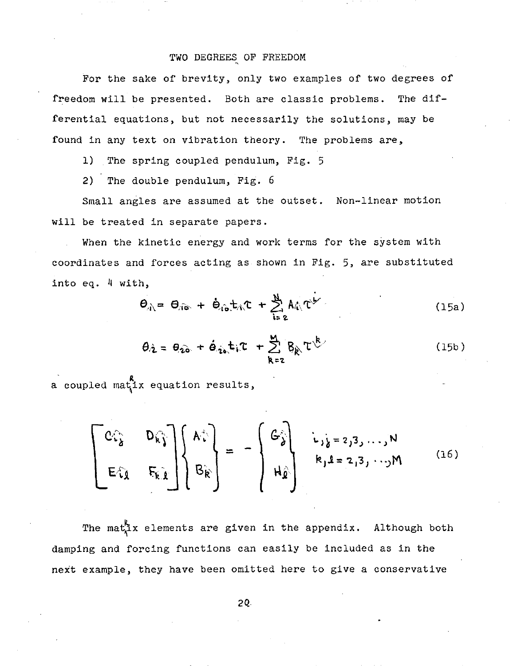### TWO DEGREES OF FREEDOM

For the sake of brevity, only two examples of two degrees of freedom will be presented. Both are classic problems. The differential equations, but not necessarily the solutions, may be found in any text on vibration theory. The problems are,

1) The spring coupled pendulum, Fig. 5

2) The double pendulum, Fig. 6

Small angles are assumed at the outset. Non-linear motion will be treated in separate papers.

When the kinetic energy and work terms for the system with coordinates and forces acting as shown in Fig. 5, are substituted into eq. 4 with,

$$
\Theta_{\hat{\Lambda}} = \Theta_{\hat{\Lambda}\hat{\sigma}} + \dot{\Theta}_{\hat{\Lambda}\hat{\sigma}} t_{\hat{\Lambda}} \hat{\tau} + \sum_{i=2}^{M} A_{\hat{\Lambda}} \hat{\tau}^{i} \qquad (15a)
$$

$$
\theta_{\hat{\ell}} = \theta_{\hat{\ell}\hat{\mathbf{0}}} + \dot{\theta}_{\hat{\ell}\hat{\mathbf{0}}}t_{\hat{\mathbf{i}}} \mathbf{\hat{\tau}} + \sum_{k=2}^{M} B_{\hat{k}} \mathbf{\hat{\tau}}^{k}
$$
 (15b)

a coupled matix equation results,

$$
\begin{bmatrix} C\hat{c}_{\delta} & D_{\hat{k}} \\ E\hat{c}_{\delta} & F_{\hat{k},\hat{k}} \end{bmatrix} \begin{Bmatrix} A^{\hat{c}} \\ B_{\hat{k}} \end{Bmatrix} = - \begin{Bmatrix} G_{\delta} \\ H_{\hat{k}} \end{Bmatrix} \begin{bmatrix} \hat{c}_{\delta} \\ \hat{r}_{\delta} \\ F_{\hat{k}} \end{bmatrix} \begin{bmatrix} \hat{c}_{\delta} \\ \hat{r}_{\delta} \\ F_{\rho} + \hat{r}_{\delta} \\ F_{\rho} + \hat{r}_{\delta} \end{bmatrix} (16)
$$

The mat<sub> $\lambda$ </sub> alements are given in the appendix. Although both damping and forcing functions can easily be included as in the next example, they have been omitted here to give a conservative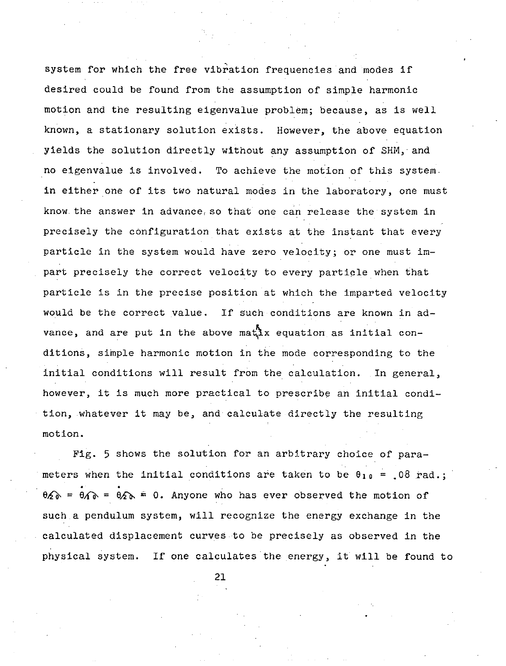system for which the free vibration frequencies and modes if desired could be found from the assumption of simple harmonic motion and the resulting eigenvalue problem; because, as is well known, a stationary solution exists. However, the above equation yields the solution directly without any assumption of SHM, and no eigenvalue is involved. To achieve the motion of this system. in either one of its two natural modes in the laboratory, one must know the answer in advance, so that one can release the system in precisely the configuration that exists at the instant that every particle in the system would have zero velocity; or one must impart precisely the correct velocity to every particle when that particle is in the precise position at which the imparted velocity would be the correct value. If such conditions are known in advance, and are put in the above matix equation as initial conditions, simple harmonic motion in the mode corresponding to the initial conditions will result from the calculation. In general, however, it is much more practical to prescribe an initial condition, whatever it may be, and calculate directly the resulting motion.

Fig. 5 shows the solution for an arbitrary choice of parameters when the initial conditions are taken to be  $\theta_{10} = .08$  rad.;  $\theta_2 \geqslant 0$  =  $\theta_1 \geqslant 0$  =  $\theta_2 \geqslant 0$ . Anyone who has ever observed the motion of such.a pendulum system, will recognize the energy exchange in the calculated displacement curves to be precisely as observed in the physical system. If one calculates the energy, it will be found to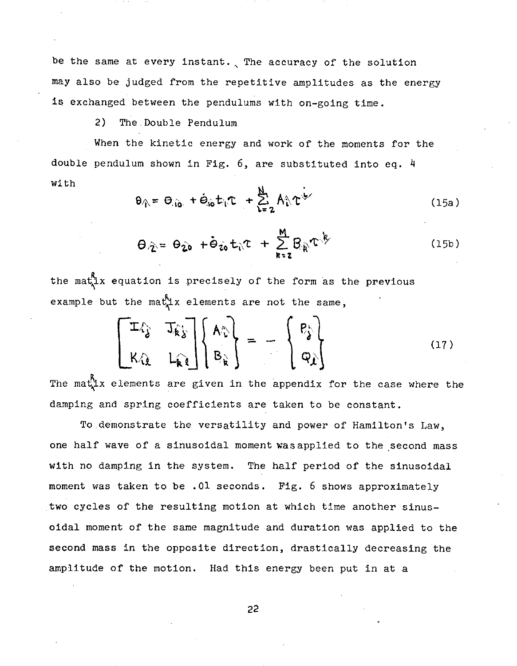be the same at every instant. The accuracy of the solution may also be judged from the repetitive amplitudes as the energy is exchanged between the pendulums with on-going time.

### 2) The.Double Pendulum

When the kinetic energy and work of the moments for the double pendulum shown in Fig. 6, are substituted into eq. 4 with

$$
\theta_{\hat{\Lambda}} = \Theta_{\hat{i}\hat{o}} + \dot{\Theta}_{\hat{i}\hat{o}} t_{\hat{i}\hat{r}} \hat{c} + \sum_{k=2}^{N} A_{\hat{i}\hat{r}} \hat{c} t_{\hat{i}\hat{r}} \qquad (15a)
$$

$$
\Theta_{\hat{\ell}} = \Theta_{\hat{\ell}\hat{\theta}} + \dot{\Theta}_{\hat{\ell}\hat{\theta}} t_{\hat{\ell}} \tau + \sum_{R=2}^{M} B_{\hat{\ell} \hat{\beta}} \tau^{\hat{\ell}} \qquad (15b)
$$

the  $\text{mat}_1^R$  equation is precisely of the form as the previous example but the mat  $x \in \mathbb{R}$  elements are not the same,

$$
\begin{bmatrix} \mathbf{I} \mathbf{A} \mathbf{B} & \mathbf{J} \mathbf{B} \mathbf{B} \\ \mathbf{K} \mathbf{A} & \mathbf{L} \mathbf{A} \mathbf{B} \end{bmatrix} \begin{bmatrix} \mathbf{A} \mathbf{B} \\ \mathbf{B} \mathbf{B} \end{bmatrix} = - \begin{bmatrix} \mathbf{B} \mathbf{B} \\ \mathbf{B} \mathbf{A} \end{bmatrix}
$$
 (17)

The matix elements are given in the appendix for the case where the damping and spring coefficients are taken to be constant.

To demonstrate the versatility and power of Hamilton's Law, one half wave of a sinusoidal moment wasapplied to the second mass with no damping in the system. The half period of the sinusoidal moment was taken to be .01 seconds. Fig. 6 shows approximately two cycles of the resulting motion at which time another sinusoidal moment of the same magnitude and duration was applied to the second mass in the opposite direction, drastically decreasing the amplitude of the motion. Had this energy been put in at a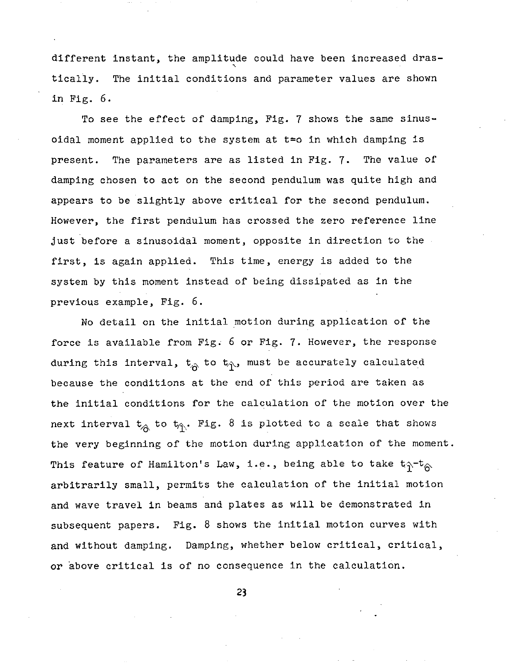different instant, the amplitude could have been increased drastically. The initial conditions and parameter values are shown in Fig. 6.

To see the effect of damping, Fig. 7 shows the same sinusoidal moment applied to the system at t=o in which damping is present. The parameters are as listed in Fig. 7. The value of damping chosen to act on the second pendulum was quite high and appears to be slightly above critical for the second pendulum. However, the first pendulum has crossed the zero reference line just before a sinusoidal moment, opposite in direction to the first, is again applied. This time, energy is added to the system by this moment instead of being dissipated as in the previous example, Fig. 6.

No detail on the initial motion during application of the force is available from Fig. 6 or Fig. 7. However, the response during this interval,  $t_{\hat{\alpha}}$  to  $t_{\hat{\gamma}}$ , must be accurately calculated because the conditions at the end of this period are taken as the initial conditions for the calculation of the motion over the next interval  $t_{\hat{\alpha}}$  to  $t_{\hat{\gamma}}$ . Fig. 8 is plotted to a scale that shows the very beginning of the motion during application of the moment. This feature of Hamilton's Law, i.e., being able to take  $t_{\hat{p}}-t_{\hat{\alpha}}$ arbitrarily small, permits the calculation of the initial motion and wave travel in beams and plates as will be demonstrated in subsequent papers. Fig. 8 shows the initial motion curves with and without damping. Damping, whether below critical, critical, or above critical is of no consequence in the calculation.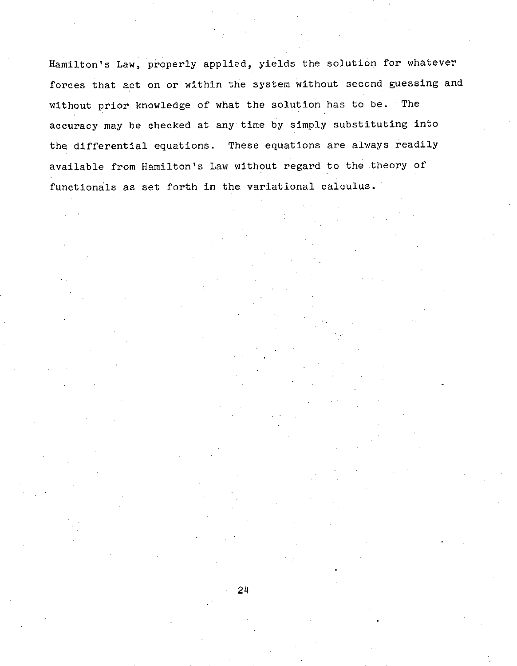Hamilton's Law, properly applied, yields the solution for.whatever forces that act on or within the system without second guessing and without prior knowledge of what the solution has to be. The accuracy may be checked at any time by simply substituting into the differential equations. These equations are always readily available from Hamilton's Law without regard to the theory of functionals as set forth in the variational calculus.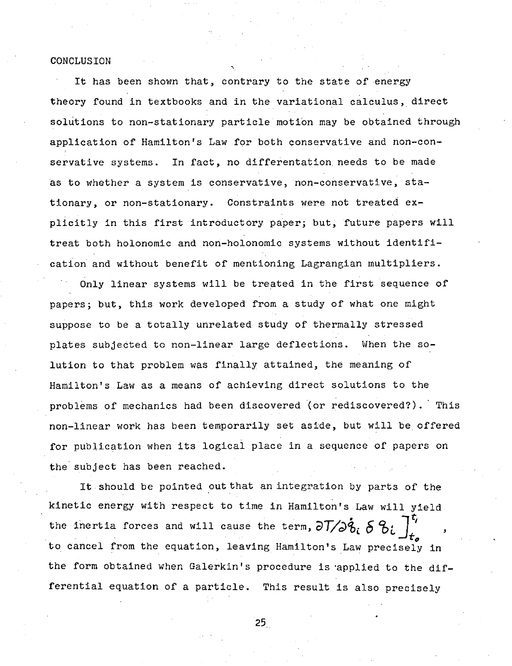### CONCLUSION

It has been shown that, contrary to the state of energy theory found in textbooks and in the variational calculus, direct solutions to non-stationary particle motion may be obtained through application of Hamilton's Law for both conservative and non-conservative systems. In fact, no differentation needs to be made as to whether a system is conservative, non-conservative, stationary, or non-stationary. Constraints were not treated explicitly in this first introductory paper; but, future papers will treat both holonomic and non-holonomic systems without identification and without benefit of mentioning Lagrangian multipliers.

Only linear systems will be treated in the first sequence of papers; but, this work developed from a study of what one might suppose to be a totally unrelated study of thermally stressed plates subjected to non-linear large deflections. When the solution to that problem was finally attained, the meaning of Hamilton's Law as a means of achieving direct solutions to the problems of mechanics had been discovered (or rediscovered?). This non-linear work has been temporarily set aside, but will be offered for publication when its logical place in a sequence of papers on the subject has been reached.

It should be pointed out that an integration by parts of the kinetic energy with respect to time in Hamilton's Law will yield the inertia forces and will cause the term,  $\partial T/\partial \hat{g}_i$ ,  $\delta$ to cancel from the equation, leaving Hamilton's Law precisely in the form obtained when Galerkin's procedure is'applied to the differential equation of a particle. This result is also precisely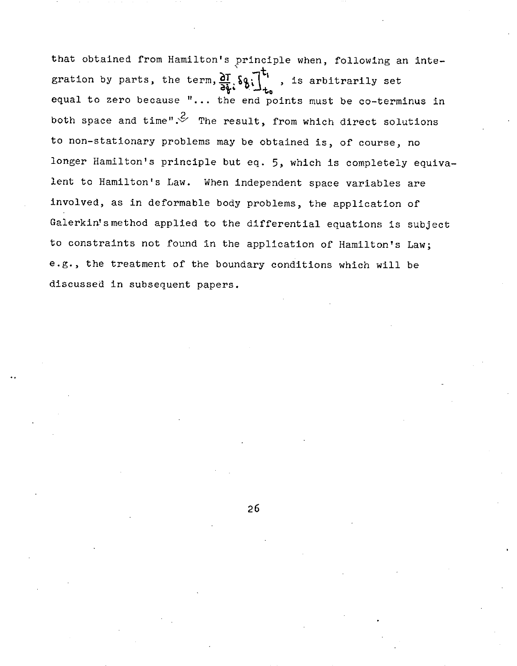that obtained from Hamilton's principle when, following an integration by parts, the term,  $\frac{\partial \Gamma}{\partial t}$ ,  $\delta g_i \prod_{t_0}^{t_1}$ , is arbitrarily set equal to zero because "... the end points must be co-terminus in both space and time".  $\stackrel{?}{\sim}$  The result, from which direct solutions to non-stationary problems may be obtained is, of course, no longer Hamilton's principle but eq. 5, which is completely equivalent to Hamilton's Law. When independent space variables are involved, as in deformable body problems, the application of Galerkin'smethod applied to the differential equations is subject to constraints not found in the application of Hamilton's Law; e.g., the treatment of the boundary conditions which will be discussed in subsequent papers.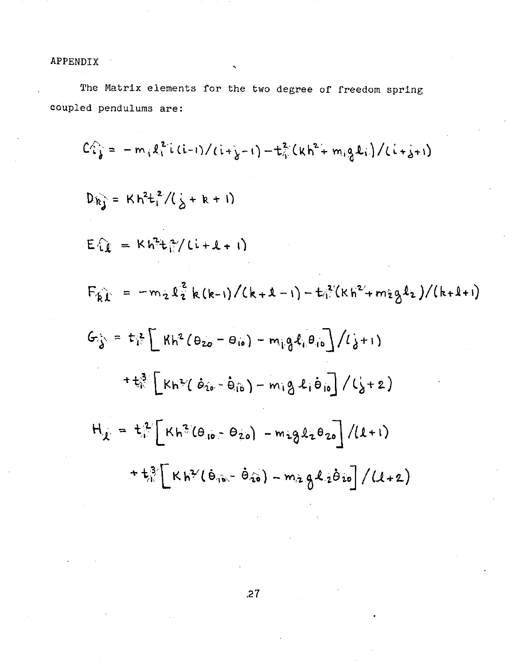APPENDIX

The Matrix elements for the two degree of freedom spring coupled pendulums are:

$$
C_{i,j}^{2} = -m_{i}l_{i}^{2}(i-i)/(i+j-1) - t_{i}^{2}(kh^{2} + m_{i}gl_{i})/(i+j+1)
$$
\n
$$
D_{kj} = Kh^{2}t_{i}^{2}/(j+k+1)
$$
\n
$$
E_{i,l} = Kh^{2}t_{i}^{2}/(i+l+1)
$$
\n
$$
F_{k,l} = -m_{2}l_{i}^{2}k(k-1)/(k+1-1) - t_{i}^{2}(Kh^{2} + m_{2}gl_{2})/(k+1+1)
$$
\n
$$
G_{j} = t_{i}^{2}\left[ Kh^{2}(θ_{20} - θ_{i0}) - m_{i}gl_{i}θ_{i0}\right]/l_{j}+1
$$
\n
$$
+ t_{i}^{3}\left[ Kh^{2}(\theta_{i0} - θ_{i0}) - m_{i}gl_{i}θ_{i0}\right]/l_{j}+2
$$
\n
$$
H_{j} = t_{i}^{2}\left[ Kh^{3}(\theta_{i0} - θ_{20}) - m_{i}gl_{2}θ_{20}\right]/(l+1)
$$
\n
$$
+ t_{i}^{3}\left[ Kh^{3}(\theta_{i0} - θ_{20}) - m_{i}gl_{2}θ_{20}\right]/(l+1)
$$

 $.27$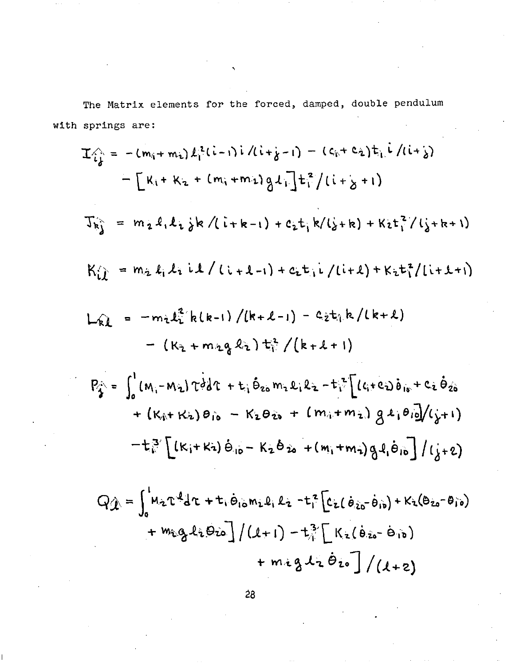The Matrix elements for the forced, damped, double pendulum with springs are:

$$
T_{i}^{A} = -(m_{i} + m_{i})L_{i}^{2}(i-1)i/(i+j-1) - (c_{i} + c_{2})t_{i}i/(i+j)
$$
\n
$$
- [K_{i} + K_{2} + (m_{i} + m_{i})gL_{i}]t_{i}^{2}/(i+j+1)
$$
\n
$$
T_{kj}^{A} = m_{2}L_{i}L_{i}jk/(i+k-1) + c_{2}t_{i}k/(j+k) + K_{2}t_{i}^{2}/(j+k+1)
$$
\n
$$
K_{i}^{A} = m_{2}L_{i}L_{i}iL/(i+k-1) + c_{2}t_{i}i/(i+1) + K_{2}t_{i}^{2}/(i+k+1)
$$
\n
$$
- (K_{2} + m_{2}gL_{i})t_{i}^{2}/(k+1+1)
$$
\n
$$
- (K_{2} + m_{2}gL_{i})t_{i}^{2}/(k+1+1)
$$
\n
$$
P_{j}^{A} = \int_{0}^{1} (M_{i} - M_{i})T_{i}dT + t_{i}\delta_{20}m_{2}L_{i}L_{2} - t_{i}^{2}[L_{i} + c_{i})\delta_{10} + c_{i}\delta_{20} + (K_{i} + K_{i})\delta_{10} - K_{2}\delta_{20} + (m_{i} + m_{2})gL_{i}\delta_{10}]/(j+1)
$$
\n
$$
-t_{i}^{3}[K_{i} + K_{i})\delta_{10} - K_{2}\delta_{20} + (m_{i} + m_{i})gL_{i}\delta_{10}]/(j+1)
$$

$$
Q_{\hat{\mu}} = \int_{0}^{1} M_{2}T^{4} dT + t_{1} \dot{\theta}_{10} m_{2} \dot{\theta}_{1} k_{2} - t_{1}^{2} [c_{2}(\dot{\theta}_{20} - \dot{\theta}_{10}) + K_{2}(\dot{\theta}_{20} - \dot{\theta}_{10}) + m_{2}g_{2}l_{2}\dot{\theta}_{20}] / (l + l) - t_{1}^{3} [K_{2}(\dot{\theta}_{20} - \dot{\theta}_{10}) + m_{2}g_{2}l_{2}\dot{\theta}_{20}] / (l + 2)
$$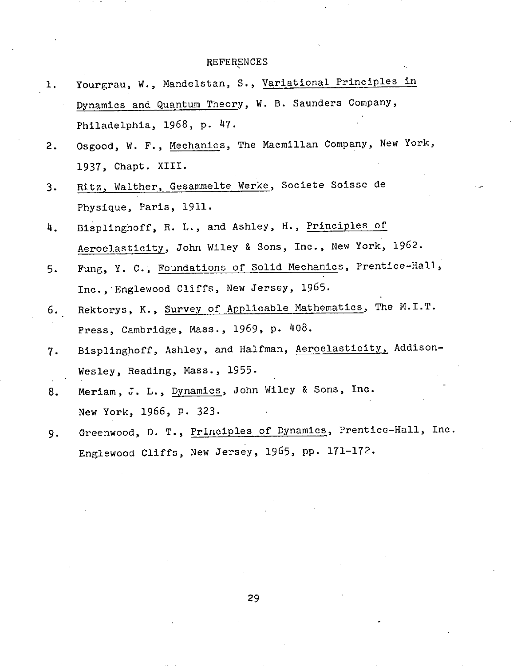#### REFERENCES

- 1. Yourgrau, W., Mandelstan, S., Variational Principles in Dynamics and Quantum Theory, W. B. Saunders Company, Philadelphia, 1968, p. 47.
- 2. Osgood, W. F., Mechanics, The Macmillan Company, New York, 1937, Chapt. XIII.
- 3. Ritz, Walther, Gesammelte Werke, Societe Soisse de Physique, Paris, 1911.
- 4. Bisplinghoff, R. L., and Ashley, H., Principles of Aeroelasticity, John Wiley & Sons, Inc., New York, 1962.
- 5. Fung, Y. C., Foundations of Solid Mechanics, Prentice-Hall, Inc., Englewood Cliffs, New Jersey, 1965.
- 6. Rektorys, K., Survey of Applicable Mathematics, The M.I.T. Press, Cambridge, Mass., 1969, p. 408.
- 7. Bisplinghoff, Ashley, and Halfman, Aeroelasticity, Addison-Wesley, Reading, Mass., 1955.
- 8. Meriam, J. L., Dynamics, John Wiley & Sons, Inc. New York, 1966, p. 323.
- 9. Greenwood, D. T., Principles of Dynamics, Prentice-Hall, Inc. Englewood Cliffs, New Jersey, 1965, pp. 171-172.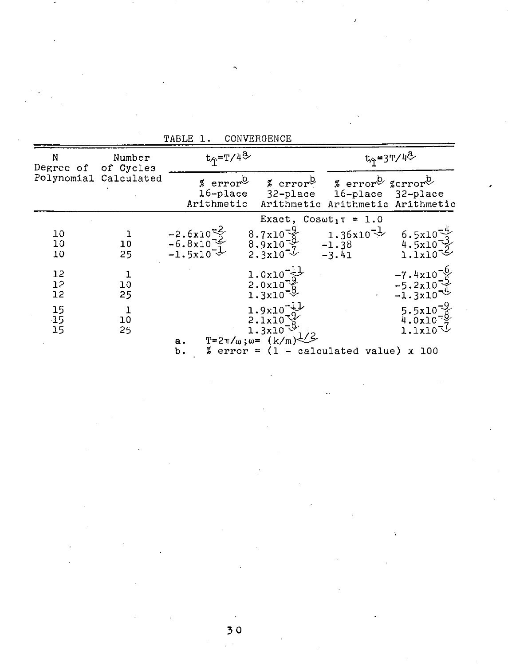| N                           | Number<br>Degree of of Cycles<br>Polynomial Calculated | $t_{\hat{\gamma}}$ =T/4 $\overset{a}{\sim}$                              |                                                                      | $t_{\hat{T}}$ =3T/4 <sup>2</sup>                                                                                                                                     |                                                                  |
|-----------------------------|--------------------------------------------------------|--------------------------------------------------------------------------|----------------------------------------------------------------------|----------------------------------------------------------------------------------------------------------------------------------------------------------------------|------------------------------------------------------------------|
|                             |                                                        | $% error^{\mathcal{D}}$<br>$16$ -place<br>Arithmetic                     |                                                                      | $\frac{3}{2}$ error <sup>b</sup> $\frac{3}{2}$ error <sup>b</sup> $\frac{3}{2}$ error <sup>b</sup><br>32-place 16-place 32-place<br>Arithmetic Arithmetic Arithmetic |                                                                  |
|                             |                                                        |                                                                          | Exact, $Cos\omega t_1 \tau = 1.0$                                    |                                                                                                                                                                      |                                                                  |
| 10<br>10<br>10              | 10 <sub>1</sub><br>25                                  | $-2.6x10$ <sup>5</sup><br>$-6.8 \times 10^{-2}$<br>-1.5x10 <sup>-1</sup> | $8.7x10\frac{11}{6}$<br>$8.9x10\frac{3}{7}$<br>2.3x10 $\sqrt{ }$     | 1.36x10 <sup>-<math>\downarrow</math></sup><br>$-1.38$<br>$-3.41$                                                                                                    | $6.5x10\frac{4}{5}$<br>$4.5 \times 10^{-3}$<br>1.1x10            |
| 12<br>12<br>12              | 10<br>25                                               |                                                                          | 1.0x10<br>2.0x10<br>2.0x10<br>1.3x10                                 | $\mathcal{L}^{\text{max}}$                                                                                                                                           | $-7.4x10^{-6}$<br>$-5.2 \times 10^{-3}$<br>$-1.3 \times 10^{-4}$ |
| 15<br>$\overline{15}$<br>15 | $\mathbf 1$<br>10<br>25                                |                                                                          | $1.9x10^{-11}$<br>$2.1x10\%$<br>$1.3x10^{-9}$                        |                                                                                                                                                                      | $5.5x10\frac{9}{8}$<br>$4.0x10^{-9}$<br>$1.1x10\sqrt[4]{ }$      |
|                             |                                                        | a.<br>b.                                                                 | $T = 2π/ω; ω = (k/m)1/2$<br>$% error = (1 - calculated value) x 100$ |                                                                                                                                                                      |                                                                  |

TABLE **1.** CONVERGENCE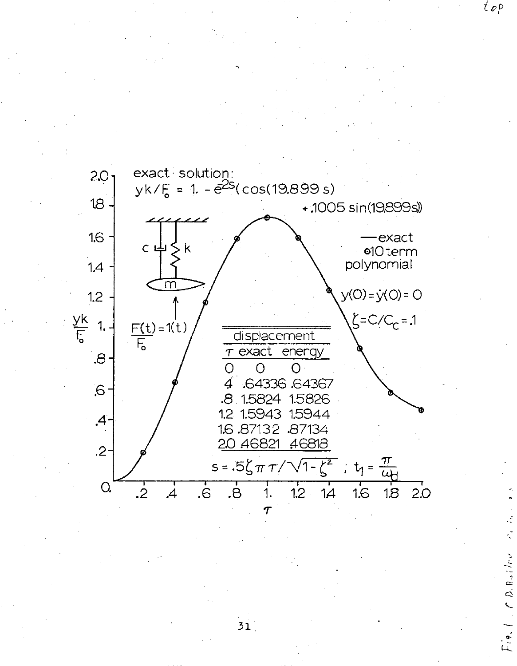

**31**

 $t$ op

 $CD.$   $B_4$ ilnu

 $\overline{F}$ ,  $\overline{g}$ ,  $\overline{g}$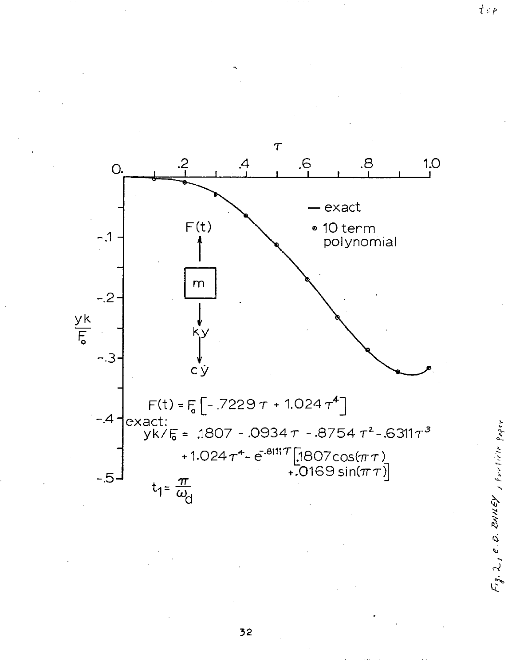

 $32$ 

 $F_{\mathcal{J}}$ , 2, C.D. BAILEY, Particle Paper

 $t$ ep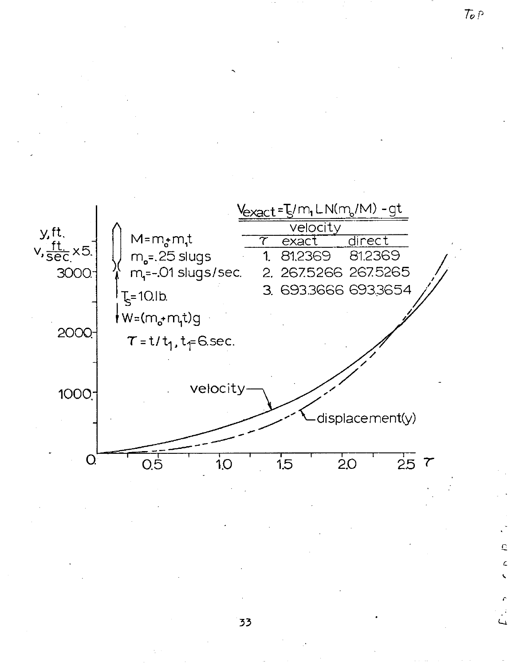

 $T_{P}P$ 

ē

۔<br>سا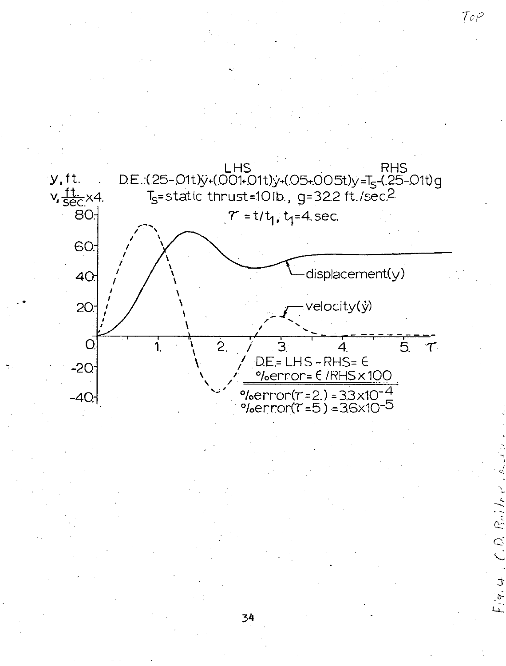

 $7$ op

 $C.$  O.  $B<sub>el</sub>/e$ 

 $F_{1}$ q.4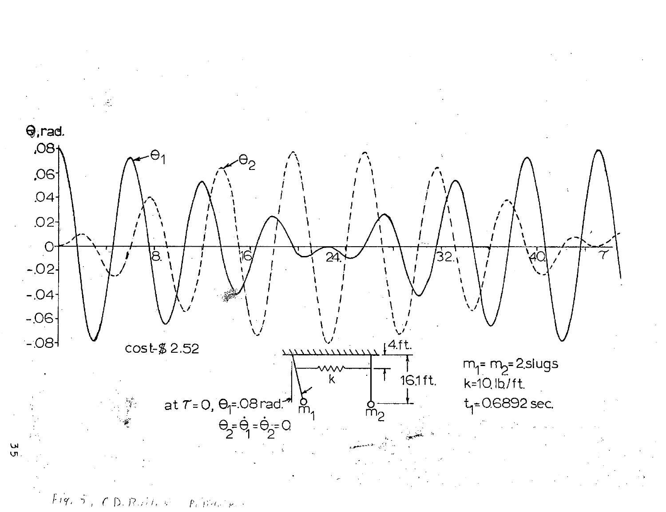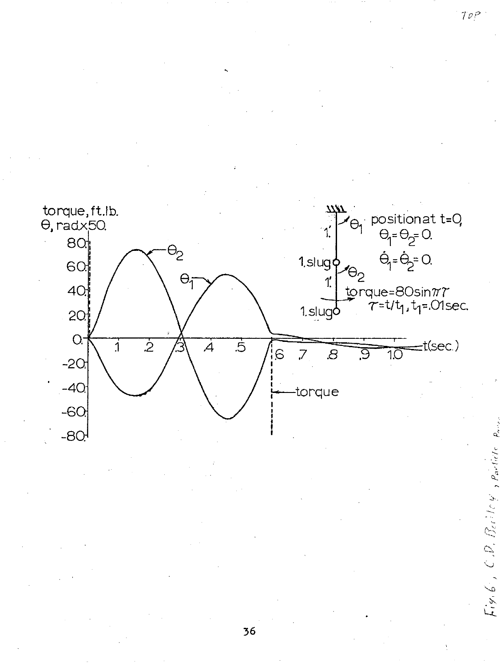

 $TepP$ 

ا کا از بالا

 $Fix(6)$ , C.D.  $Be(1c)$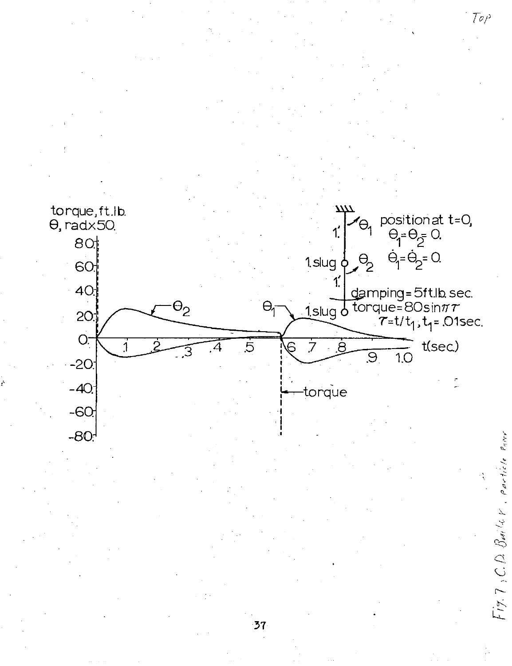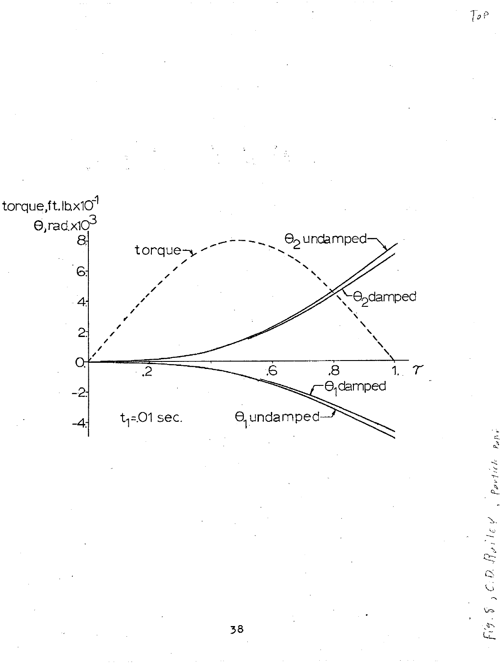